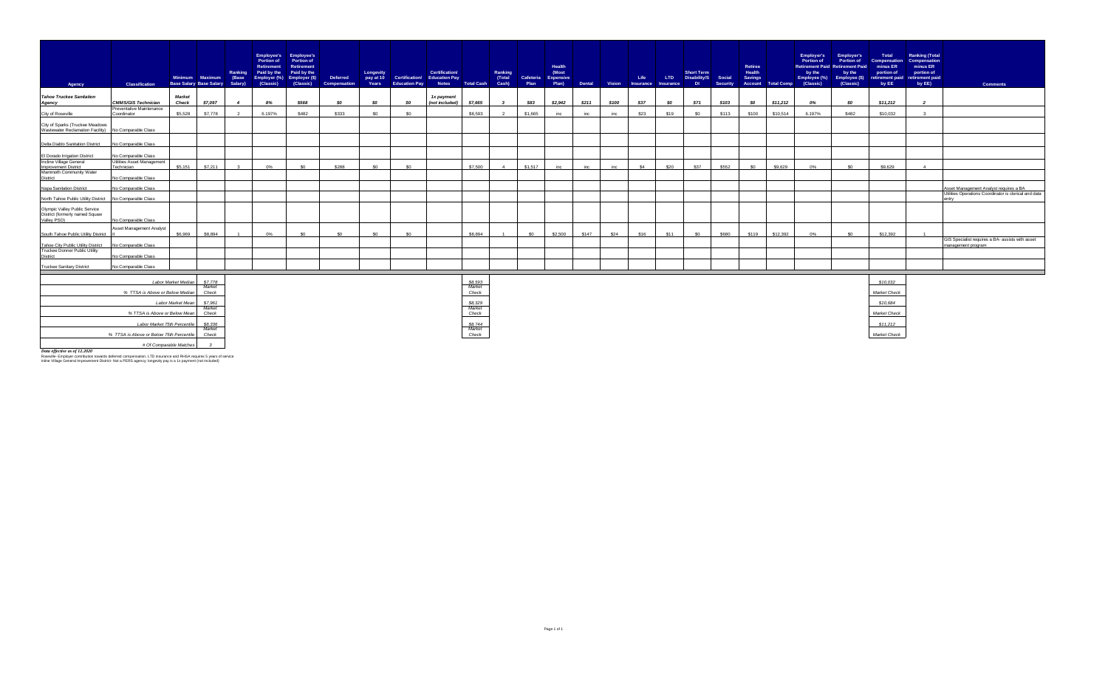| Agency                                                                                  | <b>Classification</b>                                  | Base Salary Base Salary Salary) | Minimum Maximum (Base | Ranking        | <b>Portion of</b><br><b>Retirement</b><br>Paid by the<br>Employer (%)<br>(Classic) | <b>Employee's</b> Employee's<br>Portion of<br>Retirement<br>Paid by the<br>Employer (\$)<br>(Classic) | Deferred<br>Compensation | Longevity<br>pay at 10_<br>Years | <b>Education Pay</b> | <b>Certification/</b><br>Certification/ Education Pay | Notes Total Cash Cash)  | Ranking<br>(Total | Plan            | Health<br>(Most<br>Cafeteria Expensive<br>Plan) |       |       | Life | Dental Vision Insurance Insurance | <b>Short Term</b><br>LTD Disability/S Social<br>$-$ DI $-$ | Security | <b>Retiree</b><br><b>Health</b><br><b>Savings</b> | <b>Account Total Comp</b> | <b>Employer's</b><br><b>Portion of</b><br>by the<br>(Classic) | <b>Employer's</b><br><b>Portion of</b><br><b>Retirement Paid Retirement Paid</b><br>by the<br>Employee (%) Employee (\$)<br>(Classic) | Total<br><b>Compensation</b><br>minus ER<br>portion of<br>retirement paid<br>by EE | <b>Ranking (Total</b><br>Compensation<br>minus ER<br>portion of<br>retirement paid<br>by EE) | <b>Comments</b>                                                        |
|-----------------------------------------------------------------------------------------|--------------------------------------------------------|---------------------------------|-----------------------|----------------|------------------------------------------------------------------------------------|-------------------------------------------------------------------------------------------------------|--------------------------|----------------------------------|----------------------|-------------------------------------------------------|-------------------------|-------------------|-----------------|-------------------------------------------------|-------|-------|------|-----------------------------------|------------------------------------------------------------|----------|---------------------------------------------------|---------------------------|---------------------------------------------------------------|---------------------------------------------------------------------------------------------------------------------------------------|------------------------------------------------------------------------------------|----------------------------------------------------------------------------------------------|------------------------------------------------------------------------|
| <b>Tahoe Truckee Sanitation</b>                                                         |                                                        | <b>Market</b>                   |                       |                |                                                                                    |                                                                                                       |                          |                                  |                      | 1x payment                                            |                         |                   |                 |                                                 |       |       |      |                                   |                                                            |          |                                                   |                           |                                                               |                                                                                                                                       |                                                                                    |                                                                                              |                                                                        |
| Agency                                                                                  | <b>CMMS/GIS Technician</b><br>Preventative Maintenance | Check                           | \$7,097               | $\overline{4}$ | 8%                                                                                 | \$568                                                                                                 | SO.                      | SO.                              | SO.                  | (not included)                                        | \$7,665                 | $\mathbf{z}$      | \$83            | \$2,942                                         | \$211 | \$100 | \$37 | SO.                               | \$71                                                       | \$103    | SO.                                               | \$11,212                  | 0%                                                            | SO.                                                                                                                                   | \$11,212                                                                           | $\overline{\phantom{a}}$                                                                     |                                                                        |
| City of Roseville                                                                       | Coordinator                                            | \$5,528                         | \$7,778               |                | 6.197%                                                                             | \$482                                                                                                 | \$333                    | SO                               | ፍሰ                   |                                                       | \$8,593                 |                   | \$1,665         | inc                                             | inc   | inc   | \$23 | \$19                              | \$0                                                        | \$113    | \$100                                             | \$10,514                  | 6.197%                                                        | \$482                                                                                                                                 | \$10,032                                                                           |                                                                                              |                                                                        |
| City of Sparks (Truckee Meadows<br>Wastewater Reclamation Facility) No Comparable Class |                                                        |                                 |                       |                |                                                                                    |                                                                                                       |                          |                                  |                      |                                                       |                         |                   |                 |                                                 |       |       |      |                                   |                                                            |          |                                                   |                           |                                                               |                                                                                                                                       |                                                                                    |                                                                                              |                                                                        |
| Delta Diablo Sanitation District                                                        | No Comparable Class                                    |                                 |                       |                |                                                                                    |                                                                                                       |                          |                                  |                      |                                                       |                         |                   |                 |                                                 |       |       |      |                                   |                                                            |          |                                                   |                           |                                                               |                                                                                                                                       |                                                                                    |                                                                                              |                                                                        |
|                                                                                         |                                                        |                                 |                       |                |                                                                                    |                                                                                                       |                          |                                  |                      |                                                       |                         |                   |                 |                                                 |       |       |      |                                   |                                                            |          |                                                   |                           |                                                               |                                                                                                                                       |                                                                                    |                                                                                              |                                                                        |
| El Dorado Irrigation District                                                           | No Comparable Class                                    |                                 |                       |                |                                                                                    |                                                                                                       |                          |                                  |                      |                                                       |                         |                   |                 |                                                 |       |       |      |                                   |                                                            |          |                                                   |                           |                                                               |                                                                                                                                       |                                                                                    |                                                                                              |                                                                        |
| Incline Village General                                                                 | Utilities Asset Management<br>Technician               | \$5,151                         | \$7.211               |                | 0%                                                                                 | \$0                                                                                                   | \$288                    | \$0                              | \$0                  |                                                       | \$7,500                 |                   | \$1,517         | inc                                             | inc   | inc   | \$4  | \$20                              | <b>S37</b>                                                 | \$552    | \$0                                               |                           | 0%                                                            | \$0                                                                                                                                   | \$9,629                                                                            |                                                                                              |                                                                        |
| Improvement District<br>Mammoth Community Water                                         |                                                        |                                 |                       |                |                                                                                    |                                                                                                       |                          |                                  |                      |                                                       |                         |                   |                 |                                                 |       |       |      |                                   |                                                            |          |                                                   | \$9,629                   |                                                               |                                                                                                                                       |                                                                                    |                                                                                              |                                                                        |
| District                                                                                | No Comparable Class                                    |                                 |                       |                |                                                                                    |                                                                                                       |                          |                                  |                      |                                                       |                         |                   |                 |                                                 |       |       |      |                                   |                                                            |          |                                                   |                           |                                                               |                                                                                                                                       |                                                                                    |                                                                                              |                                                                        |
| Napa Sanitation District                                                                | No Comparable Class                                    |                                 |                       |                |                                                                                    |                                                                                                       |                          |                                  |                      |                                                       |                         |                   |                 |                                                 |       |       |      |                                   |                                                            |          |                                                   |                           |                                                               |                                                                                                                                       |                                                                                    |                                                                                              | Asset Management Analyst requires a BA                                 |
| North Tahoe Public Utility District No Comparable Class                                 |                                                        |                                 |                       |                |                                                                                    |                                                                                                       |                          |                                  |                      |                                                       |                         |                   |                 |                                                 |       |       |      |                                   |                                                            |          |                                                   |                           |                                                               |                                                                                                                                       |                                                                                    |                                                                                              | Utilities Operations Coordinator is clerical and data<br>entry         |
| Olympic Valley Public Service<br>District (formerly named Squaw<br>Valley PSD)          | No Comparable Class                                    |                                 |                       |                |                                                                                    |                                                                                                       |                          |                                  |                      |                                                       |                         |                   |                 |                                                 |       |       |      |                                   |                                                            |          |                                                   |                           |                                                               |                                                                                                                                       |                                                                                    |                                                                                              |                                                                        |
|                                                                                         | Asset Management Analyst                               |                                 |                       |                |                                                                                    |                                                                                                       |                          |                                  |                      |                                                       |                         |                   |                 |                                                 |       |       |      |                                   |                                                            |          |                                                   |                           |                                                               |                                                                                                                                       |                                                                                    |                                                                                              |                                                                        |
| South Tahoe Public Utility District                                                     |                                                        | \$6,969                         | \$8,894               | $\overline{1}$ | 0%                                                                                 | \$0                                                                                                   | SO <sub>2</sub>          | \$0                              | ፍሰ                   |                                                       | \$8,894                 |                   | SO <sub>2</sub> | \$2,500                                         | \$147 | \$24  | \$16 | \$11                              | \$0                                                        | \$680    | \$119                                             | \$12,392                  | 0%                                                            | \$0                                                                                                                                   | \$12,392                                                                           |                                                                                              |                                                                        |
| Tahoe City Public Utility District                                                      | No Comparable Class                                    |                                 |                       |                |                                                                                    |                                                                                                       |                          |                                  |                      |                                                       |                         |                   |                 |                                                 |       |       |      |                                   |                                                            |          |                                                   |                           |                                                               |                                                                                                                                       |                                                                                    |                                                                                              | GIS Specialist requires a BA- assists with asset<br>management program |
| Truckee Donner Public Utility<br>District                                               | No Comparable Class                                    |                                 |                       |                |                                                                                    |                                                                                                       |                          |                                  |                      |                                                       |                         |                   |                 |                                                 |       |       |      |                                   |                                                            |          |                                                   |                           |                                                               |                                                                                                                                       |                                                                                    |                                                                                              |                                                                        |
| <b>Truckee Sanitary District</b>                                                        | No Comparable Class                                    |                                 |                       |                |                                                                                    |                                                                                                       |                          |                                  |                      |                                                       |                         |                   |                 |                                                 |       |       |      |                                   |                                                            |          |                                                   |                           |                                                               |                                                                                                                                       |                                                                                    |                                                                                              |                                                                        |
|                                                                                         |                                                        |                                 |                       |                |                                                                                    |                                                                                                       |                          |                                  |                      |                                                       |                         |                   |                 |                                                 |       |       |      |                                   |                                                            |          |                                                   |                           |                                                               |                                                                                                                                       |                                                                                    |                                                                                              |                                                                        |
|                                                                                         |                                                        | Labor Market Median             | \$7,778               |                |                                                                                    |                                                                                                       |                          |                                  |                      |                                                       |                         |                   |                 |                                                 |       |       |      |                                   |                                                            |          |                                                   |                           |                                                               |                                                                                                                                       | \$10,032                                                                           |                                                                                              |                                                                        |
| Market                                                                                  |                                                        |                                 |                       |                |                                                                                    |                                                                                                       |                          |                                  |                      |                                                       | $\frac{$8,593}{Market}$ |                   |                 |                                                 |       |       |      |                                   |                                                            |          |                                                   |                           |                                                               |                                                                                                                                       |                                                                                    |                                                                                              |                                                                        |
| % TTSA is Above or Below Median<br>Check                                                |                                                        |                                 |                       |                |                                                                                    |                                                                                                       |                          |                                  |                      |                                                       | Check                   |                   |                 |                                                 |       |       |      |                                   |                                                            |          |                                                   |                           |                                                               |                                                                                                                                       | Market Check                                                                       |                                                                                              |                                                                        |
| Labor Market Mean<br>\$7,961                                                            |                                                        |                                 |                       |                |                                                                                    |                                                                                                       |                          |                                  |                      |                                                       | \$8,329                 |                   |                 |                                                 |       |       |      |                                   |                                                            |          |                                                   |                           |                                                               |                                                                                                                                       | \$10,684                                                                           |                                                                                              |                                                                        |
| Market                                                                                  |                                                        |                                 |                       |                |                                                                                    |                                                                                                       |                          |                                  |                      |                                                       | Market<br>Check         |                   |                 |                                                 |       |       |      |                                   |                                                            |          |                                                   |                           |                                                               |                                                                                                                                       | Market Check                                                                       |                                                                                              |                                                                        |
| % TTSA is Above or Below Mean<br>Check                                                  |                                                        |                                 |                       |                |                                                                                    |                                                                                                       |                          |                                  |                      |                                                       |                         |                   |                 |                                                 |       |       |      |                                   |                                                            |          |                                                   |                           |                                                               |                                                                                                                                       |                                                                                    |                                                                                              |                                                                        |
|                                                                                         | Labor Market 75th Percentile                           |                                 | \$8,336               |                |                                                                                    |                                                                                                       |                          |                                  |                      |                                                       | \$8,744                 |                   |                 |                                                 |       |       |      |                                   |                                                            |          |                                                   |                           |                                                               |                                                                                                                                       | \$11,212                                                                           |                                                                                              |                                                                        |
|                                                                                         | % TTSA is Above or Below 75th Percentile               |                                 | Market<br>Check       |                |                                                                                    |                                                                                                       |                          |                                  |                      |                                                       | Market<br>Check         |                   |                 |                                                 |       |       |      |                                   |                                                            |          |                                                   |                           |                                                               |                                                                                                                                       | Market Check                                                                       |                                                                                              |                                                                        |
|                                                                                         |                                                        |                                 |                       |                |                                                                                    |                                                                                                       |                          |                                  |                      |                                                       |                         |                   |                 |                                                 |       |       |      |                                   |                                                            |          |                                                   |                           |                                                               |                                                                                                                                       |                                                                                    |                                                                                              |                                                                        |
|                                                                                         |                                                        | # Of Comparable Matches         | $\mathcal{L}$         |                |                                                                                    |                                                                                                       |                          |                                  |                      |                                                       |                         |                   |                 |                                                 |       |       |      |                                   |                                                            |          |                                                   |                           |                                                               |                                                                                                                                       |                                                                                    |                                                                                              |                                                                        |

**Data effective as of 12,2020**<br>Roseville- Employer contribution towards deferred compensation, LTD insurance and RHSA requires 5 years of service<br>Inline Village General Improvement District- Not a PERS agency; Iongevity p